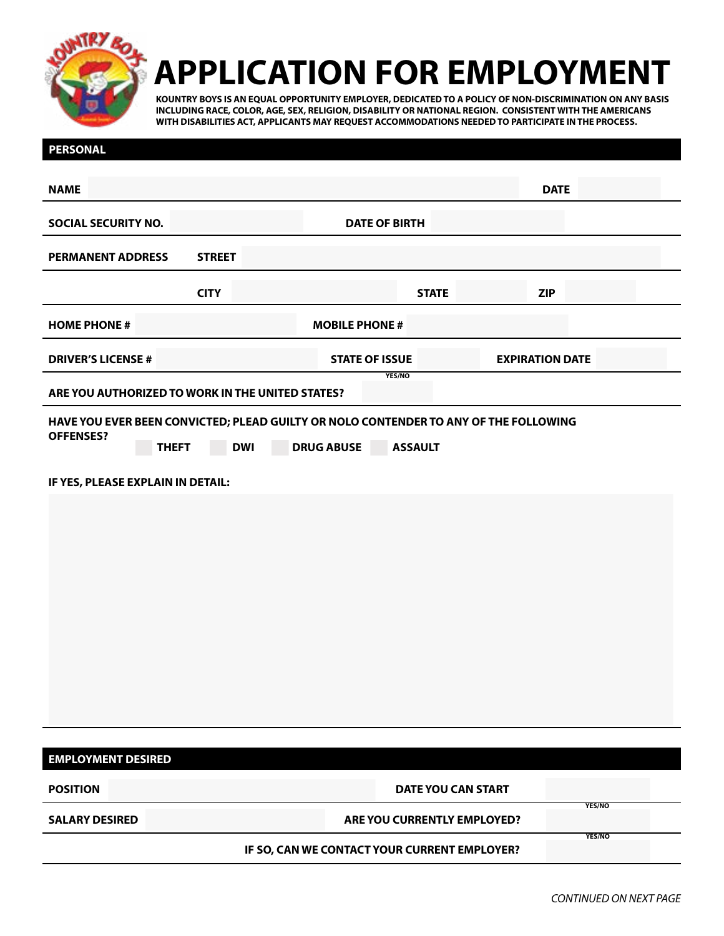

## **APPLICATION FOR EMPLOYMENT**

**KOUNTRY BOYS IS AN EQUAL OPPORTUNITY EMPLOYER, DEDICATED TO A POLICY OF NON-DISCRIMINATION ON ANY BASIS INCLUDING RACE, COLOR, AGE, SEX, RELIGION, DISABILITY OR NATIONAL REGION. CONSISTENT WITH THE AMERICANS WITH DISABILITIES ACT, APPLICANTS MAY REQUEST ACCOMMODATIONS NEEDED TO PARTICIPATE IN THE PROCESS.**

| <b>PERSONAL</b>                                                       |                                                                                                                                           |                             |                  |  |  |  |  |
|-----------------------------------------------------------------------|-------------------------------------------------------------------------------------------------------------------------------------------|-----------------------------|------------------|--|--|--|--|
| <b>NAME</b>                                                           |                                                                                                                                           | <b>DATE</b>                 |                  |  |  |  |  |
| <b>SOCIAL SECURITY NO.</b>                                            | <b>DATE OF BIRTH</b>                                                                                                                      |                             |                  |  |  |  |  |
| <b>STREET</b><br><b>PERMANENT ADDRESS</b>                             |                                                                                                                                           |                             |                  |  |  |  |  |
| <b>CITY</b>                                                           |                                                                                                                                           | <b>ZIP</b><br><b>STATE</b>  |                  |  |  |  |  |
| <b>HOME PHONE #</b>                                                   | <b>MOBILE PHONE #</b>                                                                                                                     |                             |                  |  |  |  |  |
| <b>DRIVER'S LICENSE #</b>                                             | <b>STATE OF ISSUE</b>                                                                                                                     | <b>EXPIRATION DATE</b>      |                  |  |  |  |  |
| YES/NO<br>ARE YOU AUTHORIZED TO WORK IN THE UNITED STATES?            |                                                                                                                                           |                             |                  |  |  |  |  |
| <b>OFFENSES?</b><br><b>THEFT</b><br>IF YES, PLEASE EXPLAIN IN DETAIL: | HAVE YOU EVER BEEN CONVICTED; PLEAD GUILTY OR NOLO CONTENDER TO ANY OF THE FOLLOWING<br><b>DRUG ABUSE</b><br><b>ASSAULT</b><br><b>DWI</b> |                             |                  |  |  |  |  |
| <b>EMPLOYMENT DESIRED</b>                                             |                                                                                                                                           |                             |                  |  |  |  |  |
| <b>POSITION</b>                                                       |                                                                                                                                           | <b>DATE YOU CAN START</b>   |                  |  |  |  |  |
| <b>SALARY DESIRED</b>                                                 |                                                                                                                                           | ARE YOU CURRENTLY EMPLOYED? | YES/NO<br>YES/NO |  |  |  |  |
| IF SO, CAN WE CONTACT YOUR CURRENT EMPLOYER?                          |                                                                                                                                           |                             |                  |  |  |  |  |
|                                                                       |                                                                                                                                           |                             |                  |  |  |  |  |